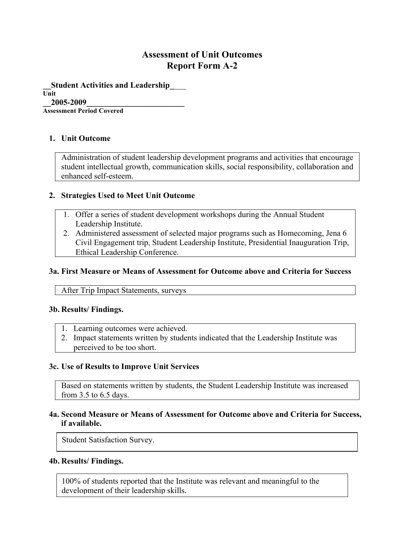# **Assessment of Unit Outcomes Report Form A-2**

**\_\_Student Activities and Leadership\_**\_\_\_ **Unit \_\_2005-2009\_\_\_\_\_\_\_\_\_\_\_\_\_\_\_\_\_\_\_\_\_\_\_\_**

**Assessment Period Covered**

# **1. Unit Outcome**

Administration of student leadership development programs and activities that encourage student intellectual growth, communication skills, social responsibility, collaboration and enhanced self-esteem.

### **2. Strategies Used to Meet Unit Outcome**

- 1. Offer a series of student development workshops during the Annual Student Leadership Institute.
- 2. Administered assessment of selected major programs such as Homecoming, Jena 6 Civil Engagement trip, Student Leadership Institute, Presidential Inauguration Trip, Ethical Leadership Conference.

### **3a. First Measure or Means of Assessment for Outcome above and Criteria for Success**

After Trip Impact Statements, surveys

### **3b. Results/ Findings.**

- 1. Learning outcomes were achieved.
- 2. Impact statements written by students indicated that the Leadership Institute was perceived to be too short.

### **3c. Use of Results to Improve Unit Services**

Based on statements written by students, the Student Leadership Institute was increased from 3.5 to 6.5 days.

## **4a. Second Measure or Means of Assessment for Outcome above and Criteria for Success, if available.**

Student Satisfaction Survey.

### **4b. Results/ Findings.**

100% of students reported that the Institute was relevant and meaningful to the development of their leadership skills.